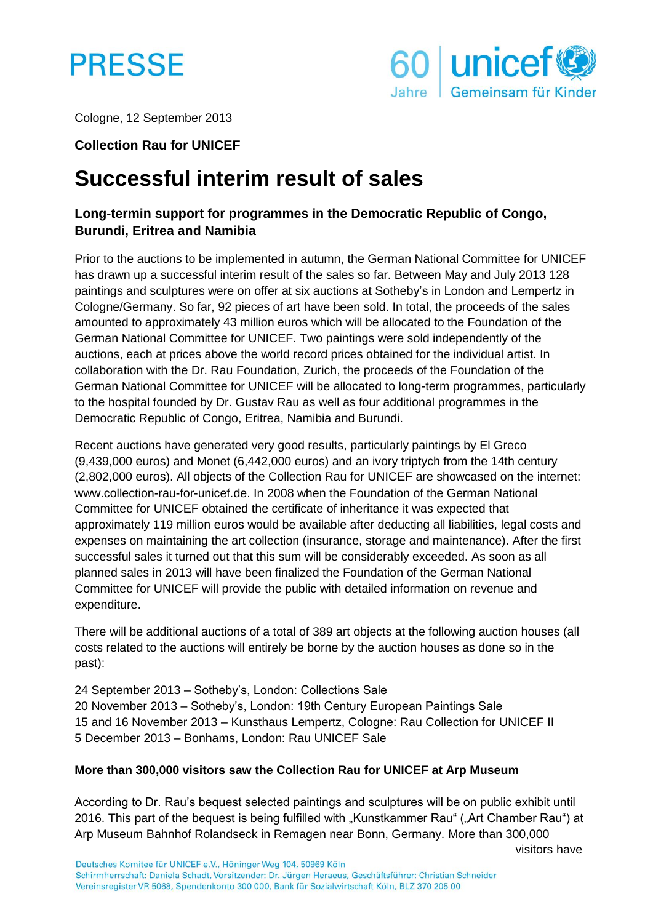



Cologne, 12 September 2013

### **Collection Rau for UNICEF**

# **Successful interim result of sales**

# **Long-termin support for programmes in the Democratic Republic of Congo, Burundi, Eritrea and Namibia**

Prior to the auctions to be implemented in autumn, the German National Committee for UNICEF has drawn up a successful interim result of the sales so far. Between May and July 2013 128 paintings and sculptures were on offer at six auctions at Sotheby's in London and Lempertz in Cologne/Germany. So far, 92 pieces of art have been sold. In total, the proceeds of the sales amounted to approximately 43 million euros which will be allocated to the Foundation of the German National Committee for UNICEF. Two paintings were sold independently of the auctions, each at prices above the world record prices obtained for the individual artist. In collaboration with the Dr. Rau Foundation, Zurich, the proceeds of the Foundation of the German National Committee for UNICEF will be allocated to long-term programmes, particularly to the hospital founded by Dr. Gustav Rau as well as four additional programmes in the Democratic Republic of Congo, Eritrea, Namibia and Burundi.

Recent auctions have generated very good results, particularly paintings by El Greco (9,439,000 euros) and Monet (6,442,000 euros) and an ivory triptych from the 14th century (2,802,000 euros). All objects of the Collection Rau for UNICEF are showcased on the internet: www.collection-rau-for-unicef.de. In 2008 when the Foundation of the German National Committee for UNICEF obtained the certificate of inheritance it was expected that approximately 119 million euros would be available after deducting all liabilities, legal costs and expenses on maintaining the art collection (insurance, storage and maintenance). After the first successful sales it turned out that this sum will be considerably exceeded. As soon as all planned sales in 2013 will have been finalized the Foundation of the German National Committee for UNICEF will provide the public with detailed information on revenue and expenditure.

There will be additional auctions of a total of 389 art objects at the following auction houses (all costs related to the auctions will entirely be borne by the auction houses as done so in the past):

24 September 2013 – Sotheby's, London: Collections Sale 20 November 2013 – Sotheby's, London: 19th Century European Paintings Sale 15 and 16 November 2013 – Kunsthaus Lempertz, Cologne: Rau Collection for UNICEF II 5 December 2013 – Bonhams, London: Rau UNICEF Sale

#### **More than 300,000 visitors saw the Collection Rau for UNICEF at Arp Museum**

According to Dr. Rau's bequest selected paintings and sculptures will be on public exhibit until 2016. This part of the bequest is being fulfilled with "Kunstkammer Rau" ("Art Chamber Rau") at Arp Museum Bahnhof Rolandseck in Remagen near Bonn, Germany. More than 300,000

visitors have